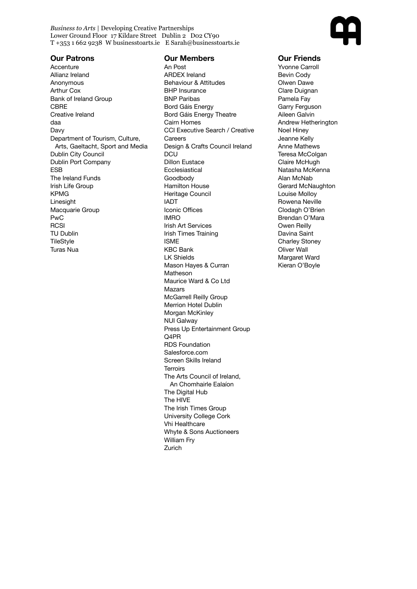*Business to Arts |* Developing Creative Partnerships Lower Ground Floor 17 Kildare Street Dublin 2 D02 CY90 T +353 1 662 9238 W businesstoarts.ie E Sarah@businesstoarts.ie



## **Our Patrons**

**Accenture** Allianz Ireland Anonymous Arthur Cox Bank of Ireland Group **CBRF** Creative Ireland daa Davy Department of Tourism, Culture, Arts, Gaeltacht, Sport and Media Dublin City Council Dublin Port Company ESB The Ireland Funds Irish Life Group KPMG Linesight Macquarie Group PwC **RCSI** TU Dublin **TileStyle** Turas Nua

## **Our Members**

An Post ARDEX Ireland Behaviour & Attitudes BHP Insurance BNP Paribas Bord Gáis Energy Bord Gáis Energy Theatre Cairn Homes CCI Executive Search / Creative **Careers** Design & Crafts Council Ireland **DCU** Dillon Eustace **Ecclesiastical** Goodbody Hamilton House Heritage Council IADT Iconic Offices IMRO Irish Art Services Irish Times Training ISME KBC Bank LK Shields Mason Hayes & Curran Matheson Maurice Ward & Co Ltd Mazars McGarrell Reilly Group Merrion Hotel Dublin Morgan McKinley NUI Galway Press Up Entertainment Group  $\bigcap$ APR RDS Foundation Salesforce.com Screen Skills Ireland **Terroirs** The Arts Council of Ireland, An Chomhairle Ealaíon The Digital Hub The HIVE The Irish Times Group University College Cork Vhi Healthcare Whyte & Sons Auctioneers William Fry Zurich

## **Our Friends**

Yvonne Carroll Bevin Cody Olwen Dawe Clare Duignan Pamela Fay Garry Ferguson Aileen Galvin Andrew Hetherington Noel Hiney Jeanne Kelly Anne Mathews Teresa McColgan Claire McHugh Natasha McKenna Alan McNab Gerard McNaughton Louise Molloy Rowena Neville Clodagh O'Brien Brendan O'Mara Owen Reilly Davina Saint Charley Stoney Oliver Wall Margaret Ward Kieran O'Boyle